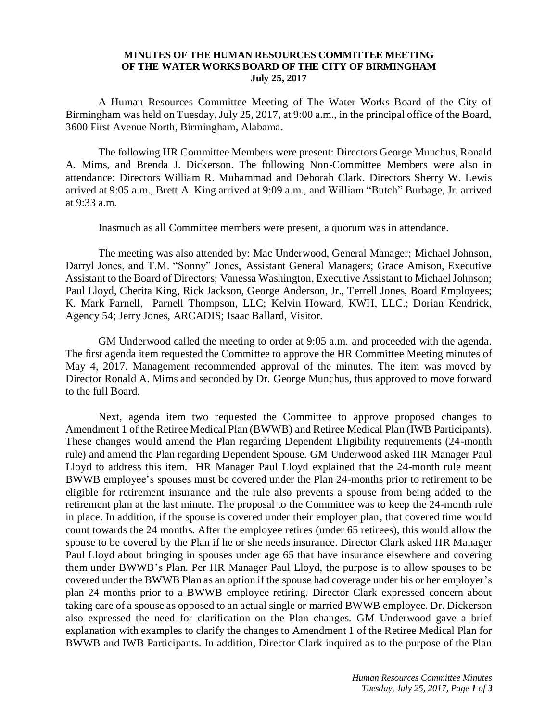## **MINUTES OF THE HUMAN RESOURCES COMMITTEE MEETING OF THE WATER WORKS BOARD OF THE CITY OF BIRMINGHAM July 25, 2017**

A Human Resources Committee Meeting of The Water Works Board of the City of Birmingham was held on Tuesday, July 25, 2017, at 9:00 a.m., in the principal office of the Board, 3600 First Avenue North, Birmingham, Alabama.

The following HR Committee Members were present: Directors George Munchus, Ronald A. Mims, and Brenda J. Dickerson. The following Non-Committee Members were also in attendance: Directors William R. Muhammad and Deborah Clark. Directors Sherry W. Lewis arrived at 9:05 a.m., Brett A. King arrived at 9:09 a.m., and William "Butch" Burbage, Jr. arrived at 9:33 a.m.

Inasmuch as all Committee members were present, a quorum was in attendance.

The meeting was also attended by: Mac Underwood, General Manager; Michael Johnson, Darryl Jones, and T.M. "Sonny" Jones, Assistant General Managers; Grace Amison, Executive Assistant to the Board of Directors; Vanessa Washington, Executive Assistant to Michael Johnson; Paul Lloyd, Cherita King, Rick Jackson, George Anderson, Jr., Terrell Jones, Board Employees; K. Mark Parnell, Parnell Thompson, LLC; Kelvin Howard, KWH, LLC.; Dorian Kendrick, Agency 54; Jerry Jones, ARCADIS; Isaac Ballard, Visitor.

GM Underwood called the meeting to order at 9:05 a.m. and proceeded with the agenda. The first agenda item requested the Committee to approve the HR Committee Meeting minutes of May 4, 2017. Management recommended approval of the minutes. The item was moved by Director Ronald A. Mims and seconded by Dr. George Munchus, thus approved to move forward to the full Board.

Next, agenda item two requested the Committee to approve proposed changes to Amendment 1 of the Retiree Medical Plan (BWWB) and Retiree Medical Plan (IWB Participants). These changes would amend the Plan regarding Dependent Eligibility requirements (24-month rule) and amend the Plan regarding Dependent Spouse. GM Underwood asked HR Manager Paul Lloyd to address this item. HR Manager Paul Lloyd explained that the 24-month rule meant BWWB employee's spouses must be covered under the Plan 24-months prior to retirement to be eligible for retirement insurance and the rule also prevents a spouse from being added to the retirement plan at the last minute. The proposal to the Committee was to keep the 24-month rule in place. In addition, if the spouse is covered under their employer plan, that covered time would count towards the 24 months. After the employee retires (under 65 retirees), this would allow the spouse to be covered by the Plan if he or she needs insurance. Director Clark asked HR Manager Paul Lloyd about bringing in spouses under age 65 that have insurance elsewhere and covering them under BWWB's Plan. Per HR Manager Paul Lloyd, the purpose is to allow spouses to be covered under the BWWB Plan as an option if the spouse had coverage under his or her employer's plan 24 months prior to a BWWB employee retiring. Director Clark expressed concern about taking care of a spouse as opposed to an actual single or married BWWB employee. Dr. Dickerson also expressed the need for clarification on the Plan changes. GM Underwood gave a brief explanation with examples to clarify the changes to Amendment 1 of the Retiree Medical Plan for BWWB and IWB Participants. In addition, Director Clark inquired as to the purpose of the Plan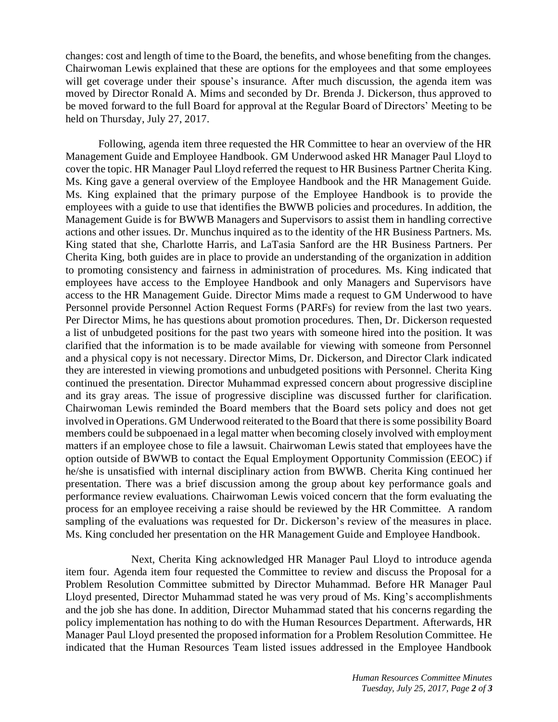changes: cost and length of time to the Board, the benefits, and whose benefiting from the changes. Chairwoman Lewis explained that these are options for the employees and that some employees will get coverage under their spouse's insurance. After much discussion, the agenda item was moved by Director Ronald A. Mims and seconded by Dr. Brenda J. Dickerson, thus approved to be moved forward to the full Board for approval at the Regular Board of Directors' Meeting to be held on Thursday, July 27, 2017.

Following, agenda item three requested the HR Committee to hear an overview of the HR Management Guide and Employee Handbook. GM Underwood asked HR Manager Paul Lloyd to cover the topic. HR Manager Paul Lloyd referred the request to HR Business Partner Cherita King. Ms. King gave a general overview of the Employee Handbook and the HR Management Guide. Ms. King explained that the primary purpose of the Employee Handbook is to provide the employees with a guide to use that identifies the BWWB policies and procedures. In addition, the Management Guide is for BWWB Managers and Supervisors to assist them in handling corrective actions and other issues. Dr. Munchus inquired as to the identity of the HR Business Partners. Ms. King stated that she, Charlotte Harris, and LaTasia Sanford are the HR Business Partners. Per Cherita King, both guides are in place to provide an understanding of the organization in addition to promoting consistency and fairness in administration of procedures. Ms. King indicated that employees have access to the Employee Handbook and only Managers and Supervisors have access to the HR Management Guide. Director Mims made a request to GM Underwood to have Personnel provide Personnel Action Request Forms (PARFs) for review from the last two years. Per Director Mims, he has questions about promotion procedures. Then, Dr. Dickerson requested a list of unbudgeted positions for the past two years with someone hired into the position. It was clarified that the information is to be made available for viewing with someone from Personnel and a physical copy is not necessary. Director Mims, Dr. Dickerson, and Director Clark indicated they are interested in viewing promotions and unbudgeted positions with Personnel. Cherita King continued the presentation. Director Muhammad expressed concern about progressive discipline and its gray areas. The issue of progressive discipline was discussed further for clarification. Chairwoman Lewis reminded the Board members that the Board sets policy and does not get involved in Operations. GM Underwood reiterated to the Board that there is some possibility Board members could be subpoenaed in a legal matter when becoming closely involved with employment matters if an employee chose to file a lawsuit. Chairwoman Lewis stated that employees have the option outside of BWWB to contact the Equal Employment Opportunity Commission (EEOC) if he/she is unsatisfied with internal disciplinary action from BWWB. Cherita King continued her presentation. There was a brief discussion among the group about key performance goals and performance review evaluations. Chairwoman Lewis voiced concern that the form evaluating the process for an employee receiving a raise should be reviewed by the HR Committee. A random sampling of the evaluations was requested for Dr. Dickerson's review of the measures in place. Ms. King concluded her presentation on the HR Management Guide and Employee Handbook.

Next, Cherita King acknowledged HR Manager Paul Lloyd to introduce agenda item four. Agenda item four requested the Committee to review and discuss the Proposal for a Problem Resolution Committee submitted by Director Muhammad. Before HR Manager Paul Lloyd presented, Director Muhammad stated he was very proud of Ms. King's accomplishments and the job she has done. In addition, Director Muhammad stated that his concerns regarding the policy implementation has nothing to do with the Human Resources Department. Afterwards, HR Manager Paul Lloyd presented the proposed information for a Problem Resolution Committee. He indicated that the Human Resources Team listed issues addressed in the Employee Handbook